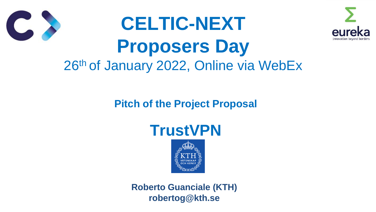

### **Pitch of the Project Proposal**





**Roberto Guanciale (KTH) robertog@kth.se**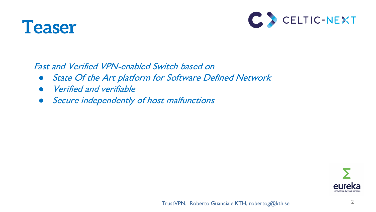



Fast and Verified VPN-enabled Switch based on

- State Of the Art platform for Software Defined Network
- **Verified and verifiable**
- Secure independently of host malfunctions

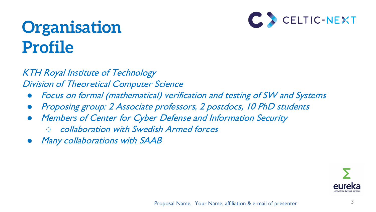## **Organisation Profile**



- Focus on formal (mathematical) verification and testing of SW and Systems
- Proposing group: 2 Associate professors, 2 postdocs, 10 PhD students
- **Members of Center for Cyber Defense and Information Security** 
	- collaboration with Swedish Armed forces
- **Many collaborations with SAAB**



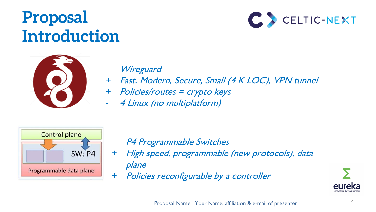### **Proposal Introduction**





#### **Wireguard**

- + Fast, Modern, Secure, Small (4 K LOC), VPN tunnel
- + Policies/routes = crypto keys
	- 4 Linux (no multiplatform)



- P4 Programmable Switches
- + High speed, programmable (new protocols), data plane
- + Policies reconfigurable by a controller

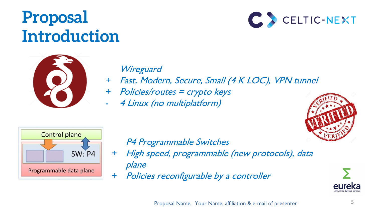### **Proposal Introduction**





#### **Wireguard**

- + Fast, Modern, Secure, Small (4 K LOC), VPN tunnel
- + Policies/routes = crypto keys
	- 4 Linux (no multiplatform)





#### P4 Programmable Switches

- + High speed, programmable (new protocols), data plane
- + Policies reconfigurable by a controller

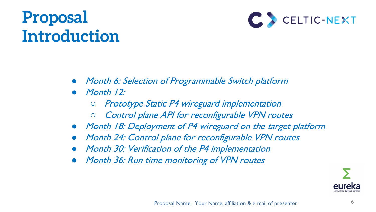## **Proposal Introduction**



- *Month 6: Selection of Programmable Switch platform*
- Month  $12$ :
	- *Prototype Static P4 wireguard implementation*
	- Control plane API for reconfigurable VPN routes
- Month 18: Deployment of P4 wireguard on the target platform
- Month 24: Control plane for reconfigurable VPN routes
- Month 30: Verification of the P4 implementation
- Month 36: Run time monitoring of VPN routes

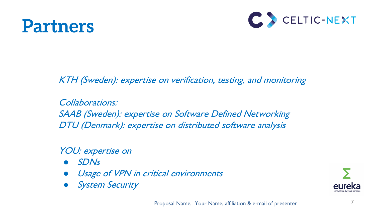



KTH (Sweden): expertise on verification, testing, and monitoring

Collaborations: SAAB (Sweden): expertise on Software Defined Networking DTU (Denmark): expertise on distributed software analysis

YOU: expertise on

- SDNs
- Usage of VPN in critical environments
- **System Security**

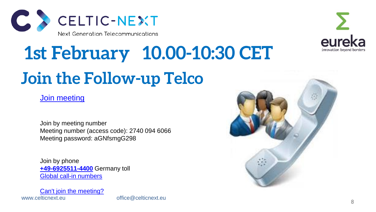

# **Join the Follow-up Telco 1st February 10.00-10:30 CET**



Join by meeting number Meeting number (access code): 2740 094 6066 Meeting password: aGNfsmgG298

Join by phone **[+49-6925511-4400](tel:+49-6925511-4400,,*01*955071414##*01*)** Germany toll [Global call-in numbers](https://eurescom.webex.com/eurescom/globalcallin.php?serviceType=MC&ED=697732507&tollFree=0)

www.celticnext.eu office@celticnext.eu [Can't join the meeting?](https://collaborationhelp.cisco.com/article/WBX000029055)